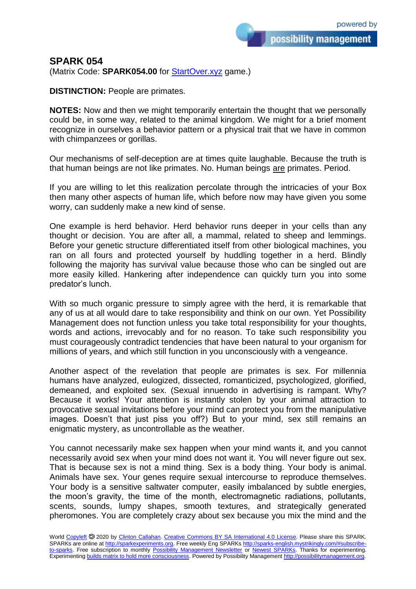## **SPARK 054**

(Matrix Code: **SPARK054.00** for **StartOver.xyz** game.)

**DISTINCTION:** People are primates.

**NOTES:** Now and then we might temporarily entertain the thought that we personally could be, in some way, related to the animal kingdom. We might for a brief moment recognize in ourselves a behavior pattern or a physical trait that we have in common with chimpanzees or gorillas.

Our mechanisms of self-deception are at times quite laughable. Because the truth is that human beings are not like primates. No. Human beings are primates. Period.

If you are willing to let this realization percolate through the intricacies of your Box then many other aspects of human life, which before now may have given you some worry, can suddenly make a new kind of sense.

One example is herd behavior. Herd behavior runs deeper in your cells than any thought or decision. You are after all, a mammal, related to sheep and lemmings. Before your genetic structure differentiated itself from other biological machines, you ran on all fours and protected yourself by huddling together in a herd. Blindly following the majority has survival value because those who can be singled out are more easily killed. Hankering after independence can quickly turn you into some predator's lunch.

With so much organic pressure to simply agree with the herd, it is remarkable that any of us at all would dare to take responsibility and think on our own. Yet Possibility Management does not function unless you take total responsibility for your thoughts, words and actions, irrevocably and for no reason. To take such responsibility you must courageously contradict tendencies that have been natural to your organism for millions of years, and which still function in you unconsciously with a vengeance.

Another aspect of the revelation that people are primates is sex. For millennia humans have analyzed, eulogized, dissected, romanticized, psychologized, glorified, demeaned, and exploited sex. (Sexual innuendo in advertising is rampant. Why? Because it works! Your attention is instantly stolen by your animal attraction to provocative sexual invitations before your mind can protect you from the manipulative images. Doesn't that just piss you off?) But to your mind, sex still remains an enigmatic mystery, as uncontrollable as the weather.

You cannot necessarily make sex happen when your mind wants it, and you cannot necessarily avoid sex when your mind does not want it. You will never figure out sex. That is because sex is not a mind thing. Sex is a body thing. Your body is animal. Animals have sex. Your genes require sexual intercourse to reproduce themselves. Your body is a sensitive saltwater computer, easily imbalanced by subtle energies, the moon's gravity, the time of the month, electromagnetic radiations, pollutants, scents, sounds, lumpy shapes, smooth textures, and strategically generated pheromones. You are completely crazy about sex because you mix the mind and the